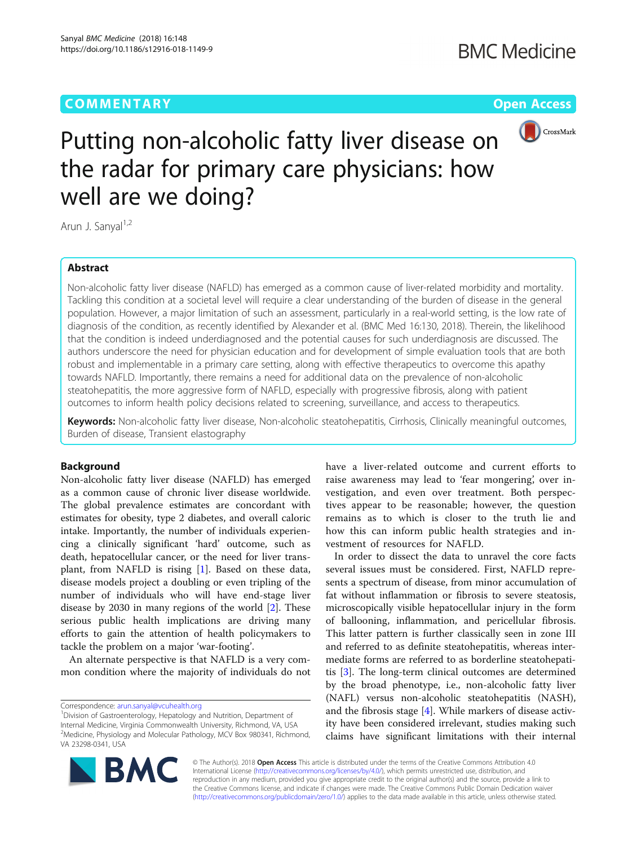# **COMMENTARY** COMMENTARY **COMMENTARY**



Putting non-alcoholic fatty liver disease on the radar for primary care physicians: how well are we doing?

Arun J. Sanyal<sup>1,2</sup>

# Abstract

Non-alcoholic fatty liver disease (NAFLD) has emerged as a common cause of liver-related morbidity and mortality. Tackling this condition at a societal level will require a clear understanding of the burden of disease in the general population. However, a major limitation of such an assessment, particularly in a real-world setting, is the low rate of diagnosis of the condition, as recently identified by Alexander et al. (BMC Med 16:130, 2018). Therein, the likelihood that the condition is indeed underdiagnosed and the potential causes for such underdiagnosis are discussed. The authors underscore the need for physician education and for development of simple evaluation tools that are both robust and implementable in a primary care setting, along with effective therapeutics to overcome this apathy towards NAFLD. Importantly, there remains a need for additional data on the prevalence of non-alcoholic steatohepatitis, the more aggressive form of NAFLD, especially with progressive fibrosis, along with patient outcomes to inform health policy decisions related to screening, surveillance, and access to therapeutics.

Keywords: Non-alcoholic fatty liver disease, Non-alcoholic steatohepatitis, Cirrhosis, Clinically meaningful outcomes, Burden of disease, Transient elastography

# Background

Non-alcoholic fatty liver disease (NAFLD) has emerged as a common cause of chronic liver disease worldwide. The global prevalence estimates are concordant with estimates for obesity, type 2 diabetes, and overall caloric intake. Importantly, the number of individuals experiencing a clinically significant 'hard' outcome, such as death, hepatocellular cancer, or the need for liver transplant, from NAFLD is rising  $[1]$  $[1]$ . Based on these data, disease models project a doubling or even tripling of the number of individuals who will have end-stage liver disease by 2030 in many regions of the world [[2](#page-2-0)]. These serious public health implications are driving many efforts to gain the attention of health policymakers to tackle the problem on a major 'war-footing'.

An alternate perspective is that NAFLD is a very common condition where the majority of individuals do not

Correspondence: [arun.sanyal@vcuhealth.org](mailto:arun.sanyal@vcuhealth.org) <sup>1</sup>

have a liver-related outcome and current efforts to raise awareness may lead to 'fear mongering', over investigation, and even over treatment. Both perspectives appear to be reasonable; however, the question remains as to which is closer to the truth lie and how this can inform public health strategies and investment of resources for NAFLD.

In order to dissect the data to unravel the core facts several issues must be considered. First, NAFLD represents a spectrum of disease, from minor accumulation of fat without inflammation or fibrosis to severe steatosis, microscopically visible hepatocellular injury in the form of ballooning, inflammation, and pericellular fibrosis. This latter pattern is further classically seen in zone III and referred to as definite steatohepatitis, whereas intermediate forms are referred to as borderline steatohepatitis [\[3](#page-2-0)]. The long-term clinical outcomes are determined by the broad phenotype, i.e., non-alcoholic fatty liver (NAFL) versus non-alcoholic steatohepatitis (NASH), and the fibrosis stage [\[4](#page-2-0)]. While markers of disease activity have been considered irrelevant, studies making such claims have significant limitations with their internal



© The Author(s). 2018 Open Access This article is distributed under the terms of the Creative Commons Attribution 4.0 International License [\(http://creativecommons.org/licenses/by/4.0/](http://creativecommons.org/licenses/by/4.0/)), which permits unrestricted use, distribution, and reproduction in any medium, provided you give appropriate credit to the original author(s) and the source, provide a link to the Creative Commons license, and indicate if changes were made. The Creative Commons Public Domain Dedication waiver [\(http://creativecommons.org/publicdomain/zero/1.0/](http://creativecommons.org/publicdomain/zero/1.0/)) applies to the data made available in this article, unless otherwise stated.

<sup>&</sup>lt;sup>1</sup>Division of Gastroenterology, Hepatology and Nutrition, Department of Internal Medicine, Virginia Commonwealth University, Richmond, VA, USA <sup>2</sup>Medicine, Physiology and Molecular Pathology, MCV Box 980341, Richmond, VA 23298-0341, USA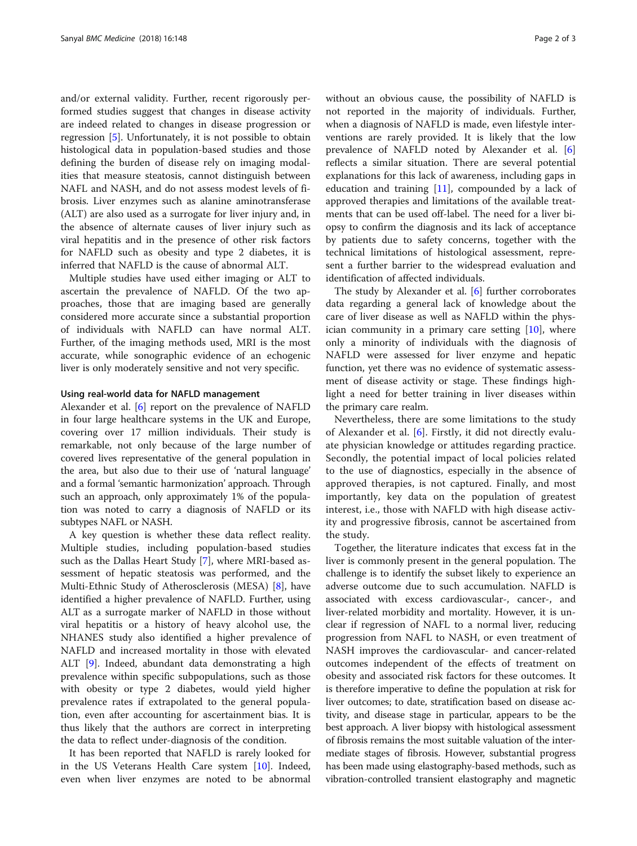and/or external validity. Further, recent rigorously performed studies suggest that changes in disease activity are indeed related to changes in disease progression or regression [[5\]](#page-2-0). Unfortunately, it is not possible to obtain histological data in population-based studies and those defining the burden of disease rely on imaging modalities that measure steatosis, cannot distinguish between NAFL and NASH, and do not assess modest levels of fibrosis. Liver enzymes such as alanine aminotransferase (ALT) are also used as a surrogate for liver injury and, in the absence of alternate causes of liver injury such as viral hepatitis and in the presence of other risk factors for NAFLD such as obesity and type 2 diabetes, it is inferred that NAFLD is the cause of abnormal ALT.

Multiple studies have used either imaging or ALT to ascertain the prevalence of NAFLD. Of the two approaches, those that are imaging based are generally considered more accurate since a substantial proportion of individuals with NAFLD can have normal ALT. Further, of the imaging methods used, MRI is the most accurate, while sonographic evidence of an echogenic liver is only moderately sensitive and not very specific.

## Using real-world data for NAFLD management

Alexander et al. [[6\]](#page-2-0) report on the prevalence of NAFLD in four large healthcare systems in the UK and Europe, covering over 17 million individuals. Their study is remarkable, not only because of the large number of covered lives representative of the general population in the area, but also due to their use of 'natural language' and a formal 'semantic harmonization' approach. Through such an approach, only approximately 1% of the population was noted to carry a diagnosis of NAFLD or its subtypes NAFL or NASH.

A key question is whether these data reflect reality. Multiple studies, including population-based studies such as the Dallas Heart Study [[7](#page-2-0)], where MRI-based assessment of hepatic steatosis was performed, and the Multi-Ethnic Study of Atherosclerosis (MESA) [\[8\]](#page-2-0), have identified a higher prevalence of NAFLD. Further, using ALT as a surrogate marker of NAFLD in those without viral hepatitis or a history of heavy alcohol use, the NHANES study also identified a higher prevalence of NAFLD and increased mortality in those with elevated ALT [\[9\]](#page-2-0). Indeed, abundant data demonstrating a high prevalence within specific subpopulations, such as those with obesity or type 2 diabetes, would yield higher prevalence rates if extrapolated to the general population, even after accounting for ascertainment bias. It is thus likely that the authors are correct in interpreting the data to reflect under-diagnosis of the condition.

It has been reported that NAFLD is rarely looked for in the US Veterans Health Care system [\[10\]](#page-2-0). Indeed, even when liver enzymes are noted to be abnormal

without an obvious cause, the possibility of NAFLD is not reported in the majority of individuals. Further, when a diagnosis of NAFLD is made, even lifestyle interventions are rarely provided. It is likely that the low prevalence of NAFLD noted by Alexander et al. [\[6](#page-2-0)] reflects a similar situation. There are several potential explanations for this lack of awareness, including gaps in education and training  $[11]$  $[11]$  $[11]$ , compounded by a lack of approved therapies and limitations of the available treatments that can be used off-label. The need for a liver biopsy to confirm the diagnosis and its lack of acceptance by patients due to safety concerns, together with the technical limitations of histological assessment, represent a further barrier to the widespread evaluation and identification of affected individuals.

The study by Alexander et al. [\[6](#page-2-0)] further corroborates data regarding a general lack of knowledge about the care of liver disease as well as NAFLD within the physician community in a primary care setting [\[10](#page-2-0)], where only a minority of individuals with the diagnosis of NAFLD were assessed for liver enzyme and hepatic function, yet there was no evidence of systematic assessment of disease activity or stage. These findings highlight a need for better training in liver diseases within the primary care realm.

Nevertheless, there are some limitations to the study of Alexander et al. [[6\]](#page-2-0). Firstly, it did not directly evaluate physician knowledge or attitudes regarding practice. Secondly, the potential impact of local policies related to the use of diagnostics, especially in the absence of approved therapies, is not captured. Finally, and most importantly, key data on the population of greatest interest, i.e., those with NAFLD with high disease activity and progressive fibrosis, cannot be ascertained from the study.

Together, the literature indicates that excess fat in the liver is commonly present in the general population. The challenge is to identify the subset likely to experience an adverse outcome due to such accumulation. NAFLD is associated with excess cardiovascular-, cancer-, and liver-related morbidity and mortality. However, it is unclear if regression of NAFL to a normal liver, reducing progression from NAFL to NASH, or even treatment of NASH improves the cardiovascular- and cancer-related outcomes independent of the effects of treatment on obesity and associated risk factors for these outcomes. It is therefore imperative to define the population at risk for liver outcomes; to date, stratification based on disease activity, and disease stage in particular, appears to be the best approach. A liver biopsy with histological assessment of fibrosis remains the most suitable valuation of the intermediate stages of fibrosis. However, substantial progress has been made using elastography-based methods, such as vibration-controlled transient elastography and magnetic